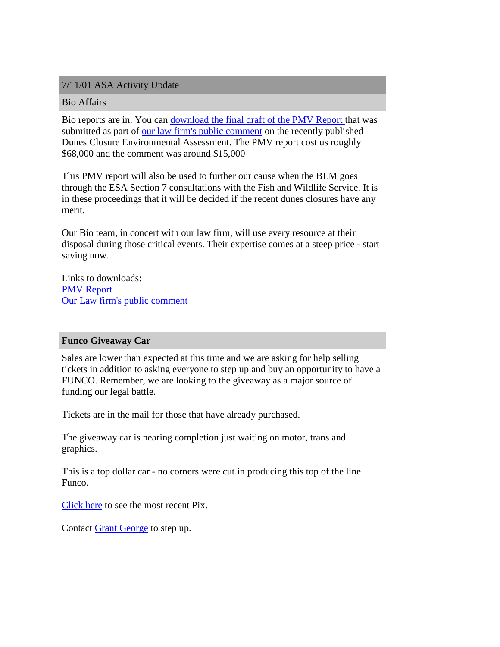# 7/11/01 ASA Activity Update

#### Bio Affairs

Bio reports are in. You can download the final draft of the PMV Report that was submitted as part of our law firm's public comment on the recently published Dunes Closure Environmental Assessment. The PMV report cost us roughly \$68,000 and the comment was around \$15,000

This PMV report will also be used to further our cause when the BLM goes through the ESA Section 7 consultations with the Fish and Wildlife Service. It is in these proceedings that it will be decided if the recent dunes closures have any merit.

Our Bio team, in concert with our law firm, will use every resource at their disposal during those critical events. Their expertise comes at a steep price - start saving now.

Links to downloads: PMV Report Our Law firm's public comment

#### **Funco Giveaway Car**

Sales are lower than expected at this time and we are asking for help selling tickets in addition to asking everyone to step up and buy an opportunity to have a FUNCO. Remember, we are looking to the giveaway as a major source of funding our legal battle.

Tickets are in the mail for those that have already purchased.

The giveaway car is nearing completion just waiting on motor, trans and graphics.

This is a top dollar car - no corners were cut in producing this top of the line Funco.

Click here to see the most recent Pix.

Contact [Grant George](mailto:FuncoBig5@aol.com) to step up.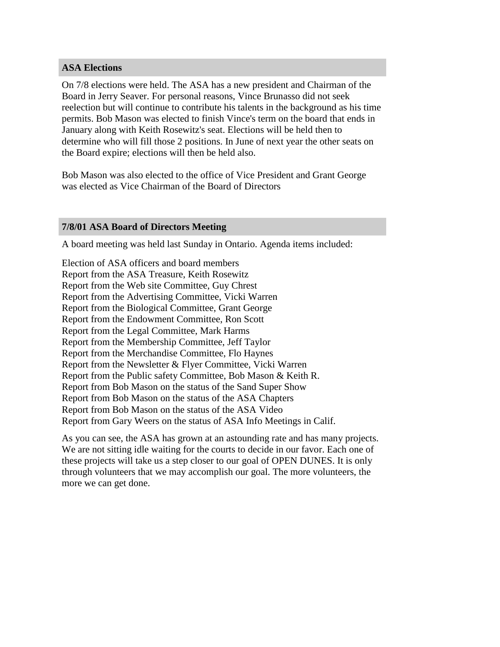## **ASA Elections**

On 7/8 elections were held. The ASA has a new president and Chairman of the Board in Jerry Seaver. For personal reasons, Vince Brunasso did not seek reelection but will continue to contribute his talents in the background as his time permits. Bob Mason was elected to finish Vince's term on the board that ends in January along with Keith Rosewitz's seat. Elections will be held then to determine who will fill those 2 positions. In June of next year the other seats on the Board expire; elections will then be held also.

Bob Mason was also elected to the office of Vice President and Grant George was elected as Vice Chairman of the Board of Directors

## **7/8/01 ASA Board of Directors Meeting**

A board meeting was held last Sunday in Ontario. Agenda items included:

Election of ASA officers and board members Report from the ASA Treasure, Keith Rosewitz Report from the Web site Committee, Guy Chrest Report from the Advertising Committee, Vicki Warren Report from the Biological Committee, Grant George Report from the Endowment Committee, Ron Scott Report from the Legal Committee, Mark Harms Report from the Membership Committee, Jeff Taylor Report from the Merchandise Committee, Flo Haynes Report from the Newsletter & Flyer Committee, Vicki Warren Report from the Public safety Committee, Bob Mason & Keith R. Report from Bob Mason on the status of the Sand Super Show Report from Bob Mason on the status of the ASA Chapters Report from Bob Mason on the status of the ASA Video Report from Gary Weers on the status of ASA Info Meetings in Calif.

As you can see, the ASA has grown at an astounding rate and has many projects. We are not sitting idle waiting for the courts to decide in our favor. Each one of these projects will take us a step closer to our goal of OPEN DUNES. It is only through volunteers that we may accomplish our goal. The more volunteers, the more we can get done.